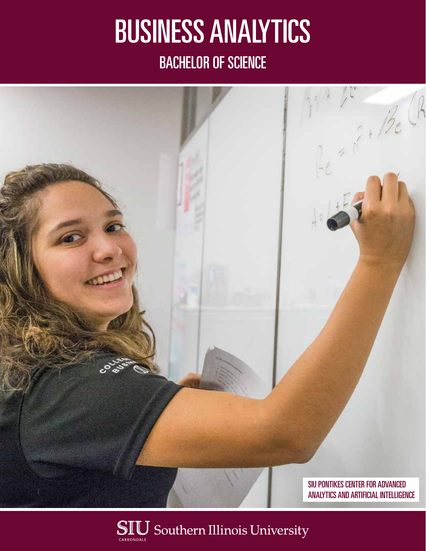# BUSINESS ANALYTICS BACHELOR OF SCIENCE